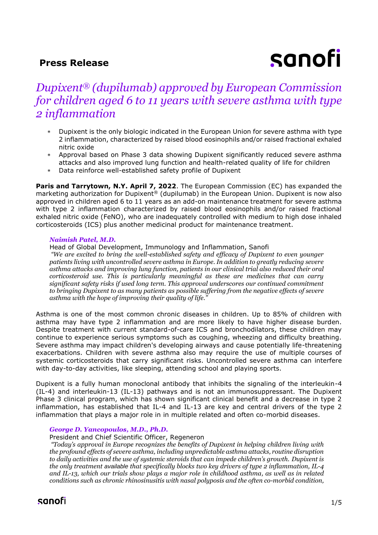## **Press Release**



# *Dupixent® (dupilumab) approved by European Commission for children aged 6 to 11 years with severe asthma with type 2 inflammation*

- Dupixent is the only biologic indicated in the European Union for severe asthma with type 2 inflammation, characterized by raised blood eosinophils and/or raised fractional exhaled nitric oxide
- Approval based on Phase 3 data showing Dupixent significantly reduced severe asthma attacks and also improved lung function and health-related quality of life for children
- Data reinforce well-established safety profile of Dupixent

**Paris and Tarrytown, N.Y. April 7, 2022**. The European Commission (EC) has expanded the marketing authorization for Dupixent® (dupilumab) in the European Union. Dupixent is now also approved in children aged 6 to 11 years as an add-on maintenance treatment for severe asthma with type 2 inflammation characterized by raised blood eosinophils and/or raised fractional exhaled nitric oxide (FeNO), who are inadequately controlled with medium to high dose inhaled corticosteroids (ICS) plus another medicinal product for maintenance treatment.

#### *Naimish Patel, M.D.*

Head of Global Development, Immunology and Inflammation, Sanofi *"We are excited to bring the well-established safety and efficacy of Dupixent to even younger patients living with uncontrolled severe asthma in Europe. In addition to greatly reducing severe asthma attacks and improving lung function, patients in our clinical trial also reduced their oral corticosteroid use. This is particularly meaningful as these are medicines that can carry significant safety risks if used long term. This approval underscores our continued commitment to bringing Dupixent to as many patients as possible suffering from the negative effects of severe asthma with the hope of improving their quality of life."*

Asthma is one of the most common chronic diseases in children. Up to 85% of children with asthma may have type 2 inflammation and are more likely to have higher disease burden. Despite treatment with current standard-of-care ICS and bronchodilators, these children may continue to experience serious symptoms such as coughing, wheezing and difficulty breathing. Severe asthma may impact children's developing airways and cause potentially life-threatening exacerbations. Children with severe asthma also may require the use of multiple courses of systemic corticosteroids that carry significant risks. Uncontrolled severe asthma can interfere with day-to-day activities, like sleeping, attending school and playing sports.

Dupixent is a fully human monoclonal antibody that inhibits the signaling of the interleukin-4 (IL-4) and interleukin-13 (IL-13) pathways and is not an immunosuppressant. The Dupixent Phase 3 clinical program, which has shown significant clinical benefit and a decrease in type 2 inflammation, has established that IL-4 and IL-13 are key and central drivers of the type 2 inflammation that plays a major role in in multiple related and often co-morbid diseases.

#### *George D. Yancopoulos, M.D., Ph.D.*

President and Chief Scientific Officer, Regeneron

*"Today's approval in Europe recognizes the benefits of Dupixent in helping children living with the profound effects of severe asthma, including unpredictable asthma attacks, routine disruption to daily activities and the use of systemic steroids that can impede children's growth. Dupixent is the only treatment available that specifically blocks two key drivers of type 2 inflammation, IL-4 and IL-13, which our trials show plays a major role in childhood asthma, as well as in related conditions such as chronic rhinosinusitis with nasal polyposis and the often co-morbid condition,*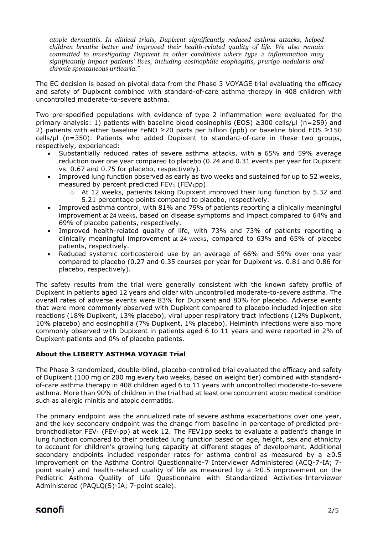*atopic dermatitis. In clinical trials, Dupixent significantly reduced asthma attacks, helped children breathe better and improved their health-related quality of life. We also remain committed to investigating Dupixent in other conditions where type 2 inflammation may significantly impact patients' lives, including eosinophilic esophagitis, prurigo nodularis and chronic spontaneous urticaria."*

The EC decision is based on pivotal data from the Phase 3 VOYAGE trial evaluating the efficacy and safety of Dupixent combined with standard-of-care asthma therapy in 408 children with uncontrolled moderate-to-severe asthma.

Two pre-specified populations with evidence of type 2 inflammation were evaluated for the primary analysis: 1) patients with baseline blood eosinophils (EOS) ≥300 cells/µl (n=259) and 2) patients with either baseline FeNO ≥20 parts per billion (ppb) or baseline blood EOS ≥150 cells/μl (n=350). Patients who added Dupixent to standard-of-care in these two groups, respectively, experienced:

- Substantially reduced rates of severe asthma attacks, with a 65% and 59% average reduction over one year compared to placebo (0.24 and 0.31 events per year for Dupixent vs. 0.67 and 0.75 for placebo, respectively).
- Improved lung function observed as early as two weeks and sustained for up to 52 weeks, measured by percent predicted  $FEV<sub>1</sub>$  ( $FEV<sub>1</sub>pp$ ).
	- $\circ$  At 12 weeks, patients taking Dupixent improved their lung function by 5.32 and 5.21 percentage points compared to placebo, respectively.
- Improved asthma control, with 81% and 79% of patients reporting a clinically meaningful improvement at 24 weeks, based on disease symptoms and impact compared to 64% and 69% of placebo patients, respectively.
- Improved health-related quality of life, with 73% and 73% of patients reporting a clinically meaningful improvement at 24 weeks, compared to 63% and 65% of placebo patients, respectively.
- Reduced systemic corticosteroid use by an average of 66% and 59% over one year compared to placebo (0.27 and 0.35 courses per year for Dupixent vs. 0.81 and 0.86 for placebo, respectively).

The safety results from the trial were generally consistent with the known safety profile of Dupixent in patients aged 12 years and older with uncontrolled moderate-to-severe asthma. The overall rates of adverse events were 83% for Dupixent and 80% for placebo. Adverse events that were more commonly observed with Dupixent compared to placebo included injection site reactions (18% Dupixent, 13% placebo), viral upper respiratory tract infections (12% Dupixent, 10% placebo) and eosinophilia (7% Dupixent, 1% placebo). Helminth infections were also more commonly observed with Dupixent in patients aged 6 to 11 years and were reported in 2% of Dupixent patients and 0% of placebo patients.

## **About the LIBERTY ASTHMA VOYAGE Trial**

The Phase 3 randomized, double-blind, placebo-controlled trial evaluated the efficacy and safety of Dupixent (100 mg or 200 mg every two weeks, based on weight tier) combined with standardof-care asthma therapy in 408 children aged 6 to 11 years with uncontrolled moderate-to-severe asthma. More than 90% of children in the trial had at least one concurrent atopic medical condition such as allergic rhinitis and atopic dermatitis.

The primary endpoint was the annualized rate of severe asthma exacerbations over one year, and the key secondary endpoint was the change from baseline in percentage of predicted prebronchodilator FEV<sub>1</sub> (FEV<sub>1</sub>pp) at week 12. The FEV1pp seeks to evaluate a patient's change in lung function compared to their predicted lung function based on age, height, sex and ethnicity to account for children's growing lung capacity at different stages of development. Additional secondary endpoints included responder rates for asthma control as measured by a  $\geq 0.5$ improvement on the Asthma Control Questionnaire-7 Interviewer Administered (ACQ-7-IA; 7 point scale) and health-related quality of life as measured by a  $\geq 0.5$  improvement on the Pediatric Asthma Quality of Life Questionnaire with Standardized Activities-Interviewer Administered (PAQLQ(S)-IA; 7-point scale).

## sanofi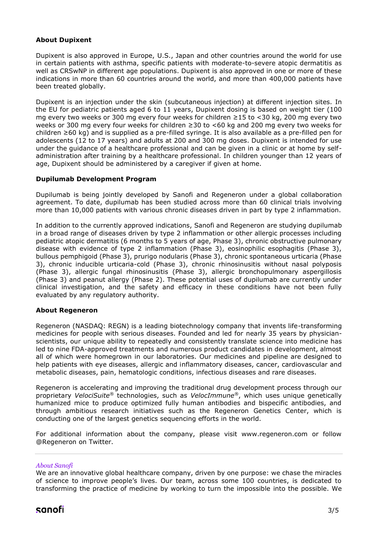### **About Dupixent**

Dupixent is also approved in Europe, U.S., Japan and other countries around the world for use in certain patients with asthma, specific patients with moderate-to-severe atopic dermatitis as well as CRSwNP in different age populations. Dupixent is also approved in one or more of these indications in more than 60 countries around the world, and more than 400,000 patients have been treated globally.

Dupixent is an injection under the skin (subcutaneous injection) at different injection sites. In the EU for pediatric patients aged 6 to 11 years, Dupixent dosing is based on weight tier (100 mg every two weeks or 300 mg every four weeks for children ≥15 to <30 kg, 200 mg every two weeks or 300 mg every four weeks for children ≥30 to <60 kg and 200 mg every two weeks for children ≥60 kg) and is supplied as a pre-filled syringe. It is also available as a pre-filled pen for adolescents (12 to 17 years) and adults at 200 and 300 mg doses. Dupixent is intended for use under the guidance of a healthcare professional and can be given in a clinic or at home by selfadministration after training by a healthcare professional. In children younger than 12 years of age, Dupixent should be administered by a caregiver if given at home.

#### **Dupilumab Development Program**

Dupilumab is being jointly developed by Sanofi and Regeneron under a global collaboration agreement. To date, dupilumab has been studied across more than 60 clinical trials involving more than 10,000 patients with various chronic diseases driven in part by type 2 inflammation.

In addition to the currently approved indications, Sanofi and Regeneron are studying dupilumab in a broad range of diseases driven by type 2 inflammation or other allergic processes including pediatric atopic dermatitis (6 months to 5 years of age, Phase 3), chronic obstructive pulmonary disease with evidence of type 2 inflammation (Phase 3), eosinophilic esophagitis (Phase 3), bullous pemphigoid (Phase 3), prurigo nodularis (Phase 3), chronic spontaneous urticaria (Phase 3), chronic inducible urticaria-cold (Phase 3), chronic rhinosinusitis without nasal polyposis (Phase 3), allergic fungal rhinosinusitis (Phase 3), allergic bronchopulmonary aspergillosis (Phase 3) and peanut allergy (Phase 2). These potential uses of dupilumab are currently under clinical investigation, and the safety and efficacy in these conditions have not been fully evaluated by any regulatory authority.

#### **About Regeneron**

Regeneron (NASDAQ: REGN) is a leading biotechnology company that invents life-transforming medicines for people with serious diseases. Founded and led for nearly 35 years by physicianscientists, our unique ability to repeatedly and consistently translate science into medicine has led to nine FDA-approved treatments and numerous product candidates in development, almost all of which were homegrown in our laboratories. Our medicines and pipeline are designed to help patients with eye diseases, allergic and inflammatory diseases, cancer, cardiovascular and metabolic diseases, pain, hematologic conditions, infectious diseases and rare diseases.

Regeneron is accelerating and improving the traditional drug development process through our proprietary *VelociSuite®* technologies, such as *VelocImmune®*, which uses unique genetically humanized mice to produce optimized fully human antibodies and bispecific antibodies, and through ambitious research initiatives such as the Regeneron Genetics Center, which is conducting one of the largest genetics sequencing efforts in the world.

For additional information about the company, please visit www.regeneron.com or follow @Regeneron on Twitter.

#### *About Sanofi*

We are an innovative global healthcare company, driven by one purpose: we chase the miracles of science to improve people's lives. Our team, across some 100 countries, is dedicated to transforming the practice of medicine by working to turn the impossible into the possible. We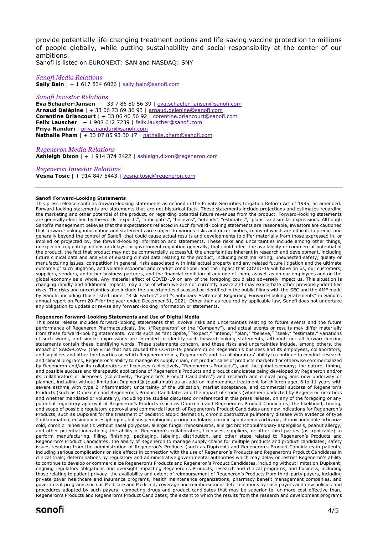provide potentially life-changing treatment options and life-saving vaccine protection to millions of people globally, while putting sustainability and social responsibility at the center of our ambitions.

Sanofi is listed on EURONEXT: SAN and NASDAQ: SNY

### *Sanofi Media Relations*

**Sally Bain** | + 1 617 834 6026 | [sally.bain@sanofi.com](mailto:sally.bain@sanofi.com)

#### *Sanofi Investor Relations*

**Eva Schaefer-Jansen** | + 33 7 86 80 56 39 | [eva.schaefer-jansen@sanofi.com](mailto:eva.schaefer-jansen@sanofi.com) **Arnaud Delépine** | + 33 06 73 69 36 93 | [arnaud.delepine@sanofi.com](mailto:arnaud.delepine@sanofi.com) **Corentine Driancourt** | + 33 06 40 56 92 | [corentine.driancourt@sanofi.com](mailto:corentine.driancourt@sanofi.com) **Felix Lauscher** | + 1 908 612 7239 | [felix.lauscher@sanofi.com](mailto:felix.lauscher@sanofi.com) **Priya Nanduri** | [priya.nanduri@sanofi.com](mailto:priya.nanduri@sanofi.com) **Nathalie Pham** | + 33 07 85 93 30 17 | [nathalie.pham@sanofi.com](mailto:nathalie.pham@sanofi.com)

*Regeneron Media Relations* **Ashleigh Dixon** | + 1 914 374 2422 | [ashleigh.dixon@regeneron.com](mailto:ashleigh.dixon@regeneron.com) 

### *Regeneron Investor Relations*

**Vesna Tosic** | + 914 847 5443 | [vesna.tosic@regeneron.com](mailto:vesna.tosic@regeneron.com)

#### **Sanofi Forward-Looking Statements**

This press release contains forward-looking statements as defined in the Private Securities Litigation Reform Act of 1995, as amended. Forward-looking statements are statements that are not historical facts. These statements include projections and estimates regarding the marketing and other potential of the product, or regarding potential future revenues from the product. Forward-looking statements are generally identified by the words "expects", "anticipates", "believes", "intends", "estimates", "plans" and similar expressions. Although Sanofi's management believes that the expectations reflected in such forward-looking statements are reasonable, investors are cautioned that forward-looking information and statements are subject to various risks and uncertainties, many of which are difficult to predict and generally beyond the control of Sanofi, that could cause actual results and developments to differ materially from those expressed in, or implied or projected by, the forward-looking information and statements. These risks and uncertainties include among other things, unexpected regulatory actions or delays, or government regulation generally, that could affect the availability or commercial potential of the product, the fact that product may not be commercially successful, the uncertainties inherent in research and development, including future clinical data and analysis of existing clinical data relating to the product, including post marketing, unexpected safety, quality or manufacturing issues, competition in general, risks associated with intellectual property and any related future litigation and the ultimate outcome of such litigation, and volatile economic and market conditions, and the impact that COVID-19 will have on us, our customers, suppliers, vendors, and other business partners, and the financial condition of any one of them, as well as on our employees and on the global economy as a whole. Any material effect of COVID-19 on any of the foregoing could also adversely impact us. This situation is changing rapidly and additional impacts may arise of which we are not currently aware and may exacerbate other previously identified risks. The risks and uncertainties also include the uncertainties discussed or identified in the public filings with the SEC and the AMF made by Sanofi, including those listed under "Risk Factors" and "Cautionary Statement Regarding Forward-Looking Statements" in Sanofi's annual report on Form 20-F for the year ended December 31, 2021. Other than as required by applicable law, Sanofi does not undertake any obligation to update or revise any forward-looking information or statements.

#### **Regeneron Forward-Looking Statements and Use of Digital Media**

This press release includes forward-looking statements that involve risks and uncertainties relating to future events and the future performance of Regeneron Pharmaceuticals, Inc. ("Regeneron" or the "Company"), and actual events or results may differ materially from these forward-looking statements. Words such as "anticipate," "expect," "intend," "plan," "believe," "seek," "estimate," variations of such words, and similar expressions are intended to identify such forward-looking statements, although not all forward-looking statements contain these identifying words. These statements concern, and these risks and uncertainties include, among others, the impact of SARS-CoV-2 (the virus that has caused the COVID-19 pandemic) on Regeneron's business and its employees, collaborators, and suppliers and other third parties on which Regeneron relies, Regeneron's and its collaborators' ability to continue to conduct research and clinical programs, Regeneron's ability to manage its supply chain, net product sales of products marketed or otherwise commercialized by Regeneron and/or its collaborators or licensees (collectively, "Regeneron's Products"), and the global economy; the nature, timing, and possible success and therapeutic applications of Regeneron's Products and product candidates being developed by Regeneron and/or its collaborators or licensees (collectively, "Regeneron's Product Candidates") and research and clinical programs now underway or planned, including without limitation Dupixent® (dupilumab) as an add-on maintenance treatment for children aged 6 to 11 years with severe asthma with type 2 inflammation; uncertainty of the utilization, market acceptance, and commercial success of Regeneron's Products (such as Dupixent) and Regeneron's Product Candidates and the impact of studies (whether conducted by Regeneron or others and whether mandated or voluntary), including the studies discussed or referenced in this press release, on any of the foregoing or any potential regulatory approval of Regeneron's Products (such as Dupixent) and Regeneron's Product Candidates; the likelihood, timing, and scope of possible regulatory approval and commercial launch of Regeneron's Product Candidates and new indications for Regeneron's Products, such as Dupixent for the treatment of pediatric atopic dermatitis, chronic obstructive pulmonary disease with evidence of type 2 inflammation, eosinophilic esophagitis, bullous pemphigoid, prurigo nodularis, chronic spontaneous urticaria, chronic inducible urticariacold, chronic rhinosinusitis without nasal polyposis, allergic fungal rhinosinusitis, allergic bronchopulmonary aspergillosis, peanut allergy, and other potential indications; the ability of Regeneron's collaborators, licensees, suppliers, or other third parties (as applicable) to perform manufacturing, filling, finishing, packaging, labeling, distribution, and other steps related to Regeneron's Products and Regeneron's Product Candidates; the ability of Regeneron to manage supply chains for multiple products and product candidates; safety issues resulting from the administration of Regeneron's Products (such as Dupixent) and Regeneron's Product Candidates in patients, including serious complications or side effects in connection with the use of Regeneron's Products and Regeneron's Product Candidates in clinical trials; determinations by regulatory and administrative governmental authorities which may delay or restrict Regeneron's ability to continue to develop or commercialize Regeneron's Products and Regeneron's Product Candidates, including without limitation Dupixent; ongoing regulatory obligations and oversight impacting Regeneron's Products, research and clinical programs, and business, including those relating to patient privacy; the availability and extent of reimbursement of Regeneron's Products from third-party payers, including private payer healthcare and insurance programs, health maintenance organizations, pharmacy benefit management companies, and government programs such as Medicare and Medicaid; coverage and reimbursement determinations by such payers and new policies and procedures adopted by such payers; competing drugs and product candidates that may be superior to, or more cost effective than, Regeneron's Products and Regeneron's Product Candidates; the extent to which the results from the research and development programs